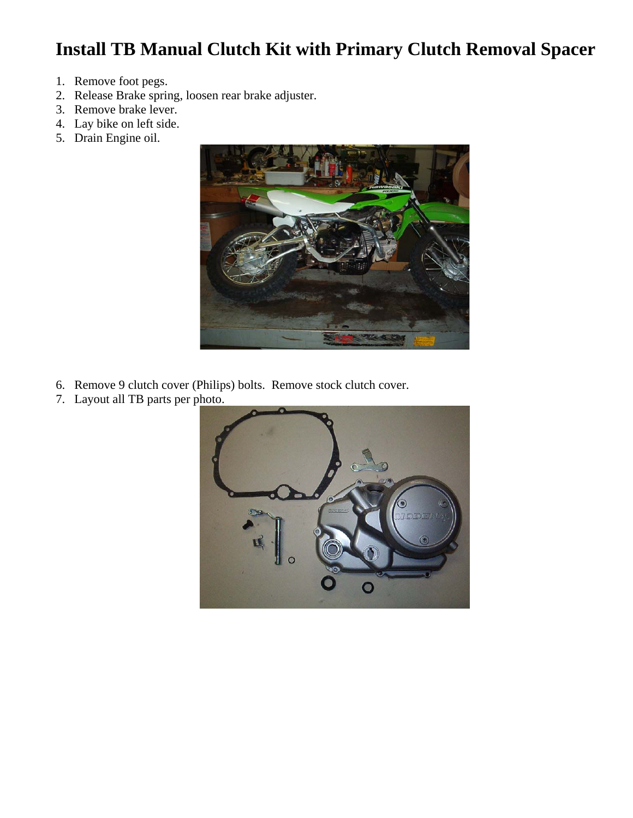## **Install TB Manual Clutch Kit with Primary Clutch Removal Spacer**

- 1. Remove foot pegs.
- 2. Release Brake spring, loosen rear brake adjuster.
- 3. Remove brake lever.
- 4. Lay bike on left side.
- 5. Drain Engine oil.



- 6. Remove 9 clutch cover (Philips) bolts. Remove stock clutch cover.
- 7. Layout all TB parts per photo.

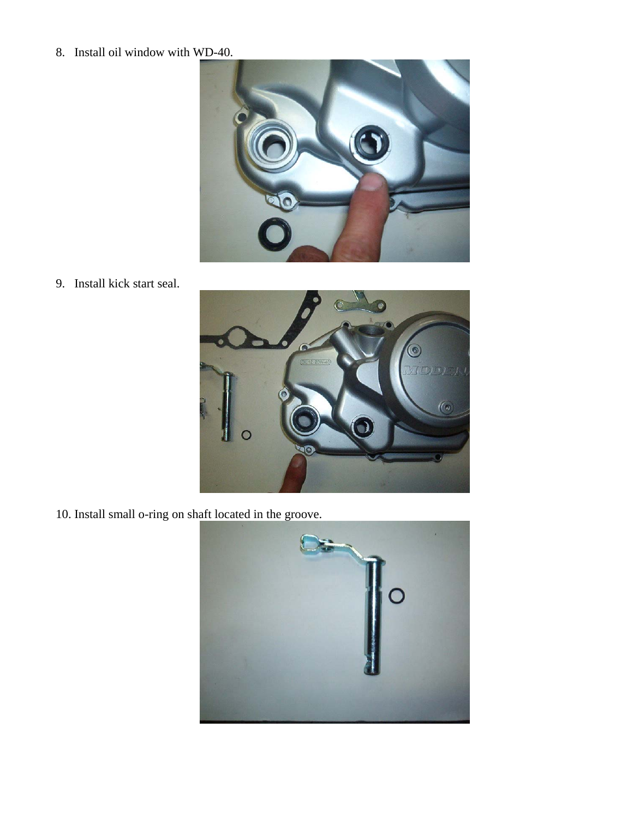## 8. Install oil window with WD-40.



9. Install kick start seal.



10. Install small o-ring on shaft located in the groove.

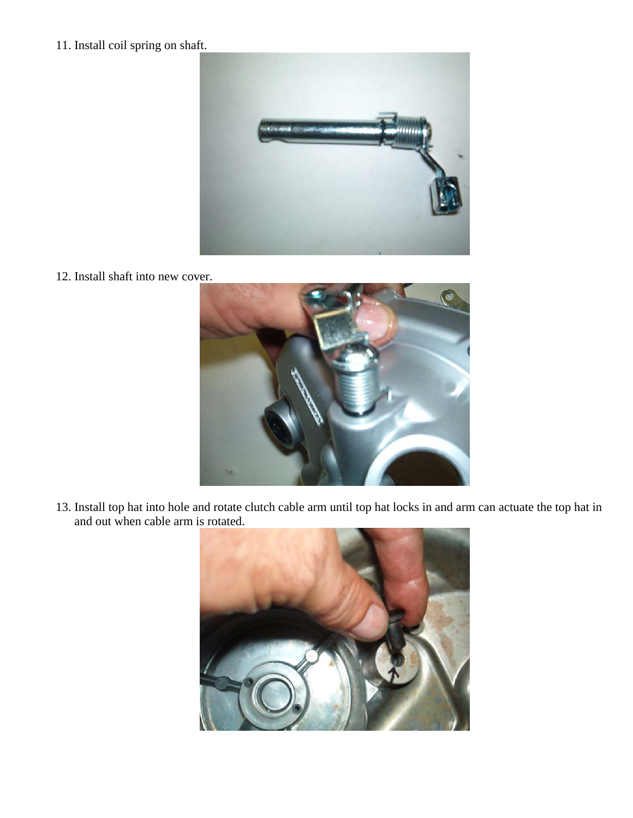11. Install coil spring on shaft.



12. Install shaft into new cover.



13. Install top hat into hole and rotate clutch cable arm until top hat locks in and arm can actuate the top hat in and out when cable arm is rotated.

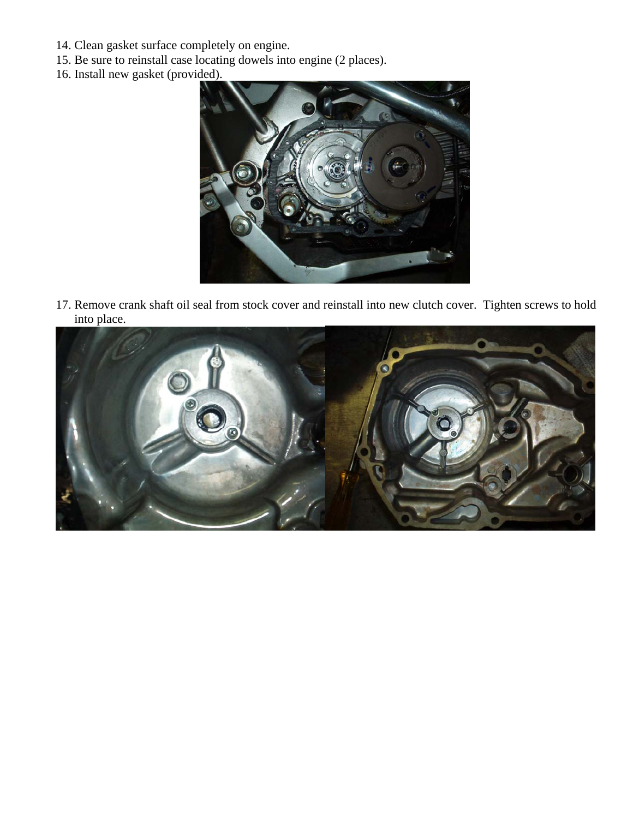- 14. Clean gasket surface completely on engine.
- 15. Be sure to reinstall case locating dowels into engine (2 places).
- 16. Install new gasket (provided).



17. Remove crank shaft oil seal from stock cover and reinstall into new clutch cover. Tighten screws to hold into place.

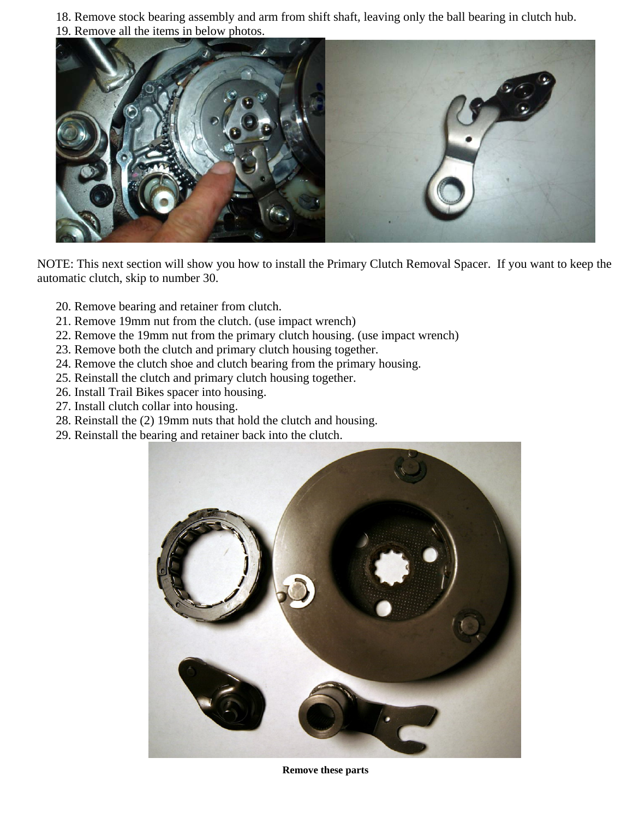18. Remove stock bearing assembly and arm from shift shaft, leaving only the ball bearing in clutch hub. 19. Remove all the items in below photos.



NOTE: This next section will show you how to install the Primary Clutch Removal Spacer. If you want to keep the automatic clutch, skip to number 30.

- 20. Remove bearing and retainer from clutch.
- 21. Remove 19mm nut from the clutch. (use impact wrench)
- 22. Remove the 19mm nut from the primary clutch housing. (use impact wrench)
- 23. Remove both the clutch and primary clutch housing together.
- 24. Remove the clutch shoe and clutch bearing from the primary housing.
- 25. Reinstall the clutch and primary clutch housing together.
- 26. Install Trail Bikes spacer into housing.
- 27. Install clutch collar into housing.
- 28. Reinstall the (2) 19mm nuts that hold the clutch and housing.
- 29. Reinstall the bearing and retainer back into the clutch.



**Remove these parts**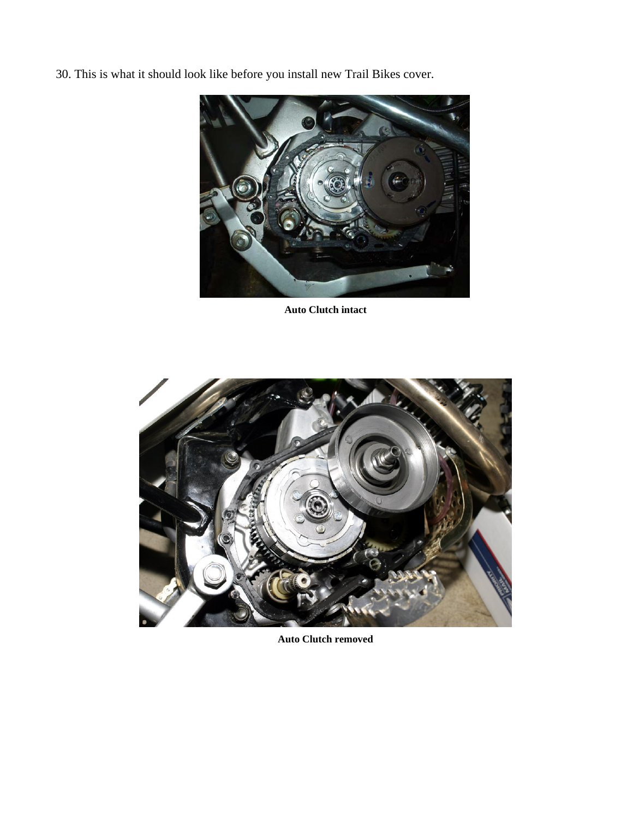30. This is what it should look like before you install new Trail Bikes cover.



**Auto Clutch intact** 



**Auto Clutch removed**